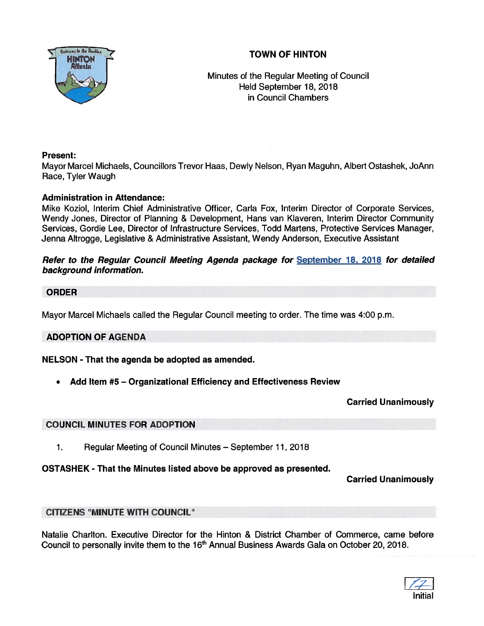



Minutes of the Regular Meeting of Council Held September 18, 2018 in Council Chambers

#### Present:

Mayor Marcel Michaels, Councillors Trevor Haas, Dewly Nelson, Ryan Maguhn, Albert Ostashek, JoAnn Race, Tyler Waugh

#### Administration in Attendance:

Mike Koziol, Interim Chief Administrative Officer, Carla Fox, Interim Director of Corporate Services, Wendy Jones, Director of Planning & Development, Hans van Klaveren, Interim Director Community Services, Gordie Lee, Director of Infrastructure Services, Todd Martens, Protective Services Manager, Jenna Altrogge, Legislative & Administrative Assistant, Wendy Anderson, Executive Assistant

#### Refer to the Regular Council Meeting Agenda package for September 18, 2078 for detailed background information.

#### ORDER

Mayor Marcel Michaels called the Regular Council meeting to order. The time was 4:00 p.m.

#### ADOPTION OF AGENDA

#### NELSON -That the agenda be adopted as amended.

•Add Item #5 — Organizational Efficiency and Effectiveness Review

Carried Unanimously

#### COUNCIL MINUTES FOR ADOPTION

1. Regular Meeting of Council Minutes — September 11, 2018

#### OSTASHEK - That the Minutes listed above be approved as presented.

Carried Unanimously

#### CITIZENS "MINUTE WITH COUNCIL"

Natalie Charlton. Executive Director for the Hinton & District Chamber of Commerce, came before Council to personally invite them to the 16<sup>th</sup> Annual Business Awards Gala on October 20, 2018.

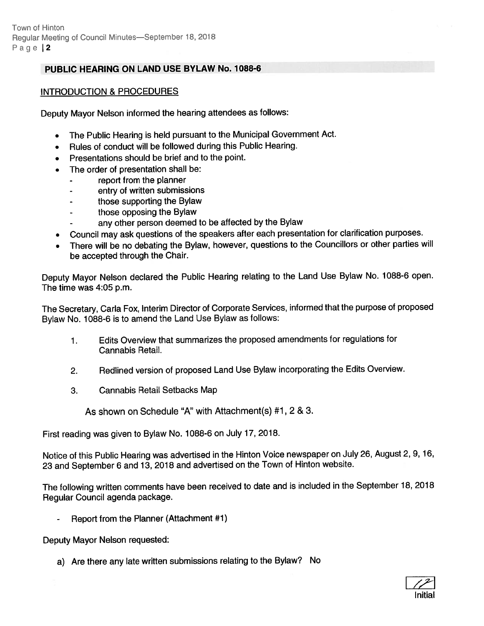## PUBLIC HEARING ON LAND USE BYLAW No. 1088-6

#### INTRODUCTION & PROCEDURES

Deputy Mayor Nelson informed the hearing attendees as follows:

- •The Public Hearing is held pursuan<sup>t</sup> to the Municipal Government Act.
- •Rules of conduct will be followed during this Public Hearing.
- Presentations should be brief and to the point.
- • The order of presentation shall be:
	- repor<sup>t</sup> from the planner
	- entry of written submissions
	- those supporting the Bylaw
	- those opposing the Bylaw
	- any other person deemed to be affected by the Bylaw
- Council may ask questions of the speakers after each presentation for clarification purposes.
- There will be no debating the Bylaw, however, questions to the Councillors or other parties will be accepted through the Chair.

Deputy Mayor Nelson declared the Public Hearing relating to the Land Use Bylaw No. 1088-6 open. The time was 4:05 p.m.

The Secretary, Carla Fox, Interim Director of Corporate Services, informed that the purpose of propose<sup>d</sup> Bylaw No. 1088-6 is to amend the Land Use Bylaw as follows:

- 1. Edits Overview that summarizes the propose<sup>d</sup> amendments for regulations for Cannabis Retail.
- 2. Redlined version of propose<sup>d</sup> Land Use Bylaw incorporating the Edits Overview.
- 3. Cannabis Retail Setbacks Map

As shown on Schedule "A" with Attachment(s) #1, 2 & 3.

First reading was <sup>g</sup>iven to Bylaw No. 1088-6 on July 17, 2018.

Notice of this Public Hearing was advertised in the Hinton Voice newspaper on July 26, August 2, 9, 16, <sup>23</sup> and September <sup>6</sup> and 13, <sup>2018</sup> and advertised on the Town of Hinton website.

The following written comments have been received to date and is included in the September 18, <sup>2018</sup> Regular Council agenda package.

Report from the Planner (Attachment #1)

Deputy Mayor Nelson requested:

a) Are there any late written submissions relating to the Bylaw? No

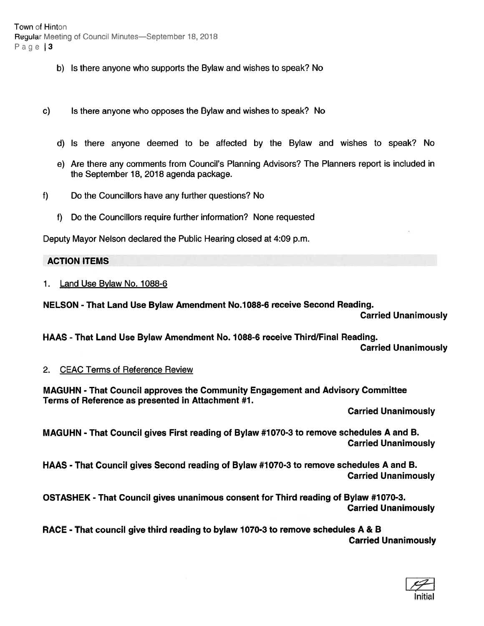Town of Hinton Regular Meeting of Council Minutes—September 18. 2018 Page | 3

- b) Is there anyone who supports the Bylaw and wishes to speak? No
- c) Is there anyone who opposes the Bylaw and wishes to speak? No
	- d) Is there anyone deemed to be affected by the Bylaw and wishes to speak? No
	- e) Are there any comments from Council's Planning Advisors? The Planners repor<sup>t</sup> is included in the September 18, 2018 agenda package.
- t) Do the Councillors have any further questions? No
	- 1) Do the Councillors require further information? None requested

Deputy Mayor Nelson declared the Public Hearing closed at 4:09 p.m.

#### ACTION ITEMS

1. Land Use Bylaw No. 1088-6

NELSON -That Land Use Bylaw Amendment No.7088-6 receive Second Reading.

Carried Unanimously

HAAS - That Land Use Bylaw Amendment No. 1088-6 receive Third/Final Reading. Carried Unanimously

#### 2. CEAC Terms of Reference Review

MAGUHN - That Council approves the Community Engagement and Advisory Committee Terms of Reference as presented in Attachment #1.

Carried Unanimously

MAGUHN - That Council gives First reading of Bylaw #1070-3 to remove schedules A and B. Carried Unanimously

HAAS - That Council gives Second reading of Bylaw #1070-3 to remove schedules A and B. Carried Unanimously

OSTASHEK - That Council gives unanimous consent for Third reading of Bylaw #1070-3. Carried Unanimously

RACE - That council give third reading to bylaw 1070-3 to remove schedules A & B Carried Unanimously

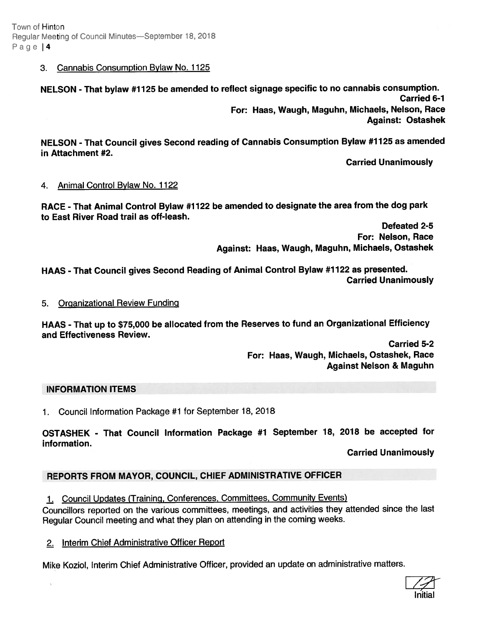Town of Hinton Regular Meeting ot Council Minutes—September 18, 2018 Page 14

#### 3. Cannabis Consumption Bylaw No. 1125

NELSON - That bylaw #1125 be amended to reflect signage specific to no cannabis consumption. Carried 6-1 For: Haas, Waugh, Maguhn, Michaels, Nelson, Race Against: Ostashek

NELSON - That Council <sup>g</sup>ives Second reading of Cannabis Consumption Bylaw #7 <sup>125</sup> as amended in Attachment #2.

Carried Unanimously

#### 4. Animal Control Bylaw No. 1122

RACE -That Animal Control Bylaw #1722 be amended to designate the area from the dog par<sup>k</sup> to East River Road trail as off-leash.

Defeated 2-5 For: Nelson, Race Against: Haas, Waugh, Maguhn, Michaels, Ostashek

HAAS - That Council gives Second Reading of Animal Control Bylaw #1122 as presented. Carried Unanimously

#### 5. Organizational Review Funding

HAAS - That up to \$75,000 be allocated from the Reserves to fund an Organizational Efficiency and Effectiveness Review.

> Carried 5-2 For: Haas, Waugh, Michaels, Ostashek, Race Against Nelson & Maguhn

#### INFORMATION ITEMS

1. Council Information Package #1 for September 18, 2018

OSTASHEK - That Council Information Package #1 September 18, <sup>2018</sup> be accepted for information.

Carried Unanimously

# REPORTS FROM MAYOR, COUNCIL, CHIEF ADMINISTRATIVE OFFICER

1. Council Updates (Training, Conferences, Committees, Community Events)

Councillors reported on the various committees, meetings, and activities they attended since the last Regular Council meeting and what they <sup>p</sup>lan on attending in the coming weeks.

#### 2. Interim Chief Administrative Officer Report

Mike Koziol, Interim Chief Administrative Officer, provided an update on administrative maffers.